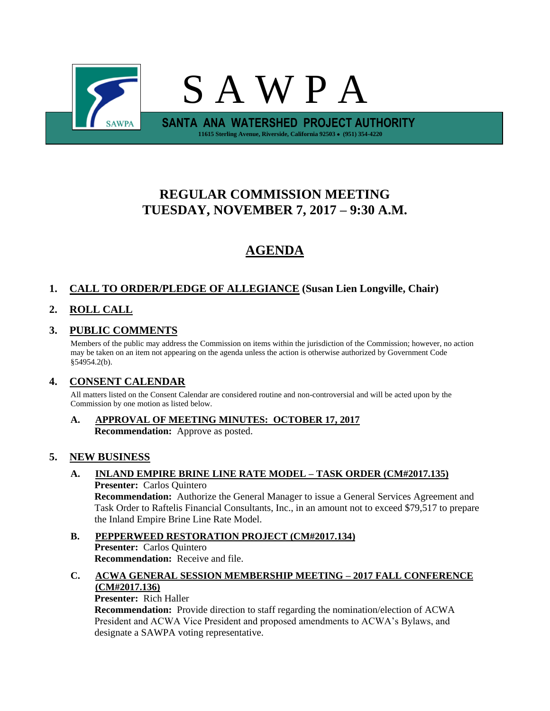

# **REGULAR COMMISSION MEETING TUESDAY, NOVEMBER 7, 2017 – 9:30 A.M.**

# **AGENDA**

# **1. CALL TO ORDER/PLEDGE OF ALLEGIANCE (Susan Lien Longville, Chair)**

# **2. ROLL CALL**

# **3. PUBLIC COMMENTS**

Members of the public may address the Commission on items within the jurisdiction of the Commission; however, no action may be taken on an item not appearing on the agenda unless the action is otherwise authorized by Government Code §54954.2(b).

## **4. CONSENT CALENDAR**

All matters listed on the Consent Calendar are considered routine and non-controversial and will be acted upon by the Commission by one motion as listed below.

**A. APPROVAL OF MEETING MINUTES: OCTOBER 17, 2017 Recommendation:** Approve as posted.

## **5. NEW BUSINESS**

#### **A. INLAND EMPIRE BRINE LINE RATE MODEL – TASK ORDER (CM#2017.135) Presenter:** Carlos Quintero

**Recommendation:** Authorize the General Manager to issue a General Services Agreement and Task Order to Raftelis Financial Consultants, Inc., in an amount not to exceed \$79,517 to prepare the Inland Empire Brine Line Rate Model.

## **B. PEPPERWEED RESTORATION PROJECT (CM#2017.134) Presenter:** Carlos Quintero **Recommendation:** Receive and file.

## **C. ACWA GENERAL SESSION MEMBERSHIP MEETING – 2017 FALL CONFERENCE (CM#2017.136)**

**Presenter:** Rich Haller

**Recommendation:** Provide direction to staff regarding the nomination/election of ACWA President and ACWA Vice President and proposed amendments to ACWA's Bylaws, and designate a SAWPA voting representative.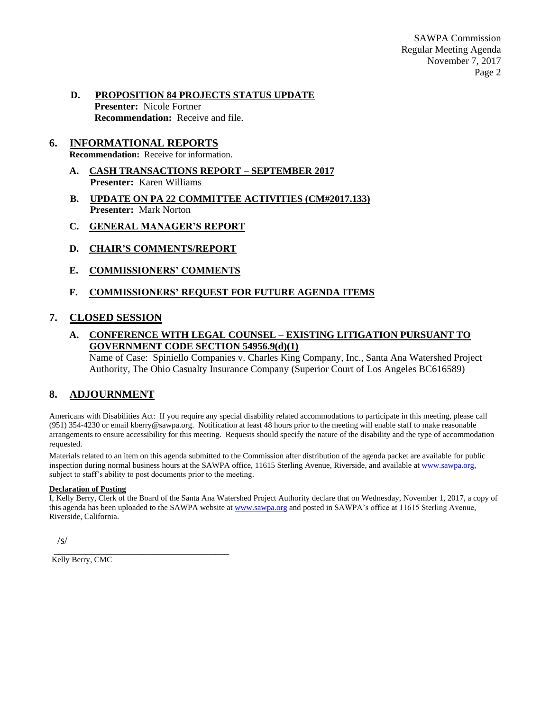SAWPA Commission Regular Meeting Agenda November 7, 2017 Page 2

#### **D. PROPOSITION 84 PROJECTS STATUS UPDATE Presenter:** Nicole Fortner **Recommendation:** Receive and file.

### **6. INFORMATIONAL REPORTS**

**Recommendation:** Receive for information.

- **A. CASH TRANSACTIONS REPORT – SEPTEMBER 2017 Presenter:** Karen Williams
- **B. UPDATE ON PA 22 COMMITTEE ACTIVITIES (CM#2017.133) Presenter:** Mark Norton
- **C. GENERAL MANAGER'S REPORT**
- **D. CHAIR'S COMMENTS/REPORT**
- **E. COMMISSIONERS' COMMENTS**

#### **F. COMMISSIONERS' REQUEST FOR FUTURE AGENDA ITEMS**

#### **7. CLOSED SESSION**

#### **A. CONFERENCE WITH LEGAL COUNSEL – EXISTING LITIGATION PURSUANT TO GOVERNMENT CODE SECTION 54956.9(d)(1)**

Name of Case: Spiniello Companies v. Charles King Company, Inc., Santa Ana Watershed Project Authority, The Ohio Casualty Insurance Company (Superior Court of Los Angeles BC616589)

#### **8. ADJOURNMENT**

Americans with Disabilities Act: If you require any special disability related accommodations to participate in this meeting, please call (951) 354-4230 or email kberry@sawpa.org. Notification at least 48 hours prior to the meeting will enable staff to make reasonable arrangements to ensure accessibility for this meeting. Requests should specify the nature of the disability and the type of accommodation requested.

Materials related to an item on this agenda submitted to the Commission after distribution of the agenda packet are available for public inspection during normal business hours at the SAWPA office, 11615 Sterling Avenue, Riverside, and available a[t www.sawpa.org,](http://www.sawpa.org/) subject to staff's ability to post documents prior to the meeting.

#### **Declaration of Posting**

I, Kelly Berry, Clerk of the Board of the Santa Ana Watershed Project Authority declare that on Wednesday, November 1, 2017, a copy of this agenda has been uploaded to the SAWPA website a[t www.sawpa.org](http://www.sawpa.org/) and posted in SAWPA's office at 11615 Sterling Avenue, Riverside, California.

 $\sqrt{s}$ 

Kelly Berry, CMC

\_\_\_\_\_\_\_\_\_\_\_\_\_\_\_\_\_\_\_\_\_\_\_\_\_\_\_\_\_\_\_\_\_\_\_\_\_\_\_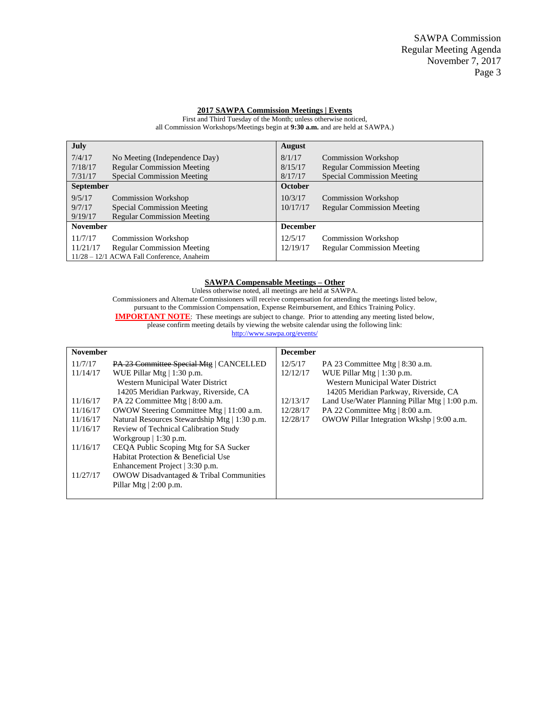#### **2017 SAWPA Commission Meetings | Events**

First and Third Tuesday of the Month; unless otherwise noticed, all Commission Workshops/Meetings begin at **9:30 a.m.** and are held at SAWPA.)

| <b>July</b>                                |                                   | <b>August</b>   |                                   |  |
|--------------------------------------------|-----------------------------------|-----------------|-----------------------------------|--|
| 7/4/17                                     | No Meeting (Independence Day)     | 8/1/17          | <b>Commission Workshop</b>        |  |
| 7/18/17                                    | <b>Regular Commission Meeting</b> | 8/15/17         | <b>Regular Commission Meeting</b> |  |
| 7/31/17                                    | <b>Special Commission Meeting</b> | 8/17/17         | <b>Special Commission Meeting</b> |  |
| <b>September</b>                           |                                   | October         |                                   |  |
| 9/5/17                                     | Commission Workshop               | 10/3/17         | <b>Commission Workshop</b>        |  |
| 9/7/17                                     | <b>Special Commission Meeting</b> | 10/17/17        | <b>Regular Commission Meeting</b> |  |
| 9/19/17                                    | <b>Regular Commission Meeting</b> |                 |                                   |  |
| <b>November</b>                            |                                   | <b>December</b> |                                   |  |
| 11/7/17                                    | <b>Commission Workshop</b>        | 12/5/17         | <b>Commission Workshop</b>        |  |
| 11/21/17                                   | <b>Regular Commission Meeting</b> | 12/19/17        | <b>Regular Commission Meeting</b> |  |
| 11/28 - 12/1 ACWA Fall Conference, Anaheim |                                   |                 |                                   |  |

#### **SAWPA Compensable Meetings – Other**

Unless otherwise noted, all meetings are held at SAWPA. Commissioners and Alternate Commissioners will receive compensation for attending the meetings listed below, pursuant to the Commission Compensation, Expense Reimbursement, and Ethics Training Policy. **IMPORTANT NOTE:** These meetings are subject to change. Prior to attending any meeting listed below, please confirm meeting details by viewing the website calendar using the following link: <http://www.sawpa.org/events/>

| <b>November</b> |                                                    | <b>December</b> |                                                     |
|-----------------|----------------------------------------------------|-----------------|-----------------------------------------------------|
| 11/7/17         | PA 23 Committee Special Mtg   CANCELLED            | 12/5/17         | PA 23 Committee Mtg $\vert$ 8:30 a.m.               |
| 11/14/17        | WUE Pillar Mtg $  1:30$ p.m.                       | 12/12/17        | WUE Pillar Mtg   1:30 p.m.                          |
|                 | Western Municipal Water District                   |                 | Western Municipal Water District                    |
|                 | 14205 Meridian Parkway, Riverside, CA              |                 | 14205 Meridian Parkway, Riverside, CA               |
| 11/16/17        | PA 22 Committee Mtg   8:00 a.m.                    | 12/13/17        | Land Use/Water Planning Pillar Mtg $\mid$ 1:00 p.m. |
| 11/16/17        | OWOW Steering Committee Mtg   11:00 a.m.           | 12/28/17        | PA 22 Committee Mtg   8:00 a.m.                     |
| 11/16/17        | Natural Resources Stewardship Mtg   1:30 p.m.      | 12/28/17        | OWOW Pillar Integration Wkshp   9:00 a.m.           |
| 11/16/17        | Review of Technical Calibration Study              |                 |                                                     |
|                 | Workgroup $\vert$ 1:30 p.m.                        |                 |                                                     |
| 11/16/17        | CEQA Public Scoping Mtg for SA Sucker              |                 |                                                     |
|                 | Habitat Protection & Beneficial Use                |                 |                                                     |
|                 | Enhancement Project   3:30 p.m.                    |                 |                                                     |
| 11/27/17        | <b>OWOW Disadvantaged &amp; Tribal Communities</b> |                 |                                                     |
|                 | Pillar Mtg $\vert$ 2:00 p.m.                       |                 |                                                     |
|                 |                                                    |                 |                                                     |